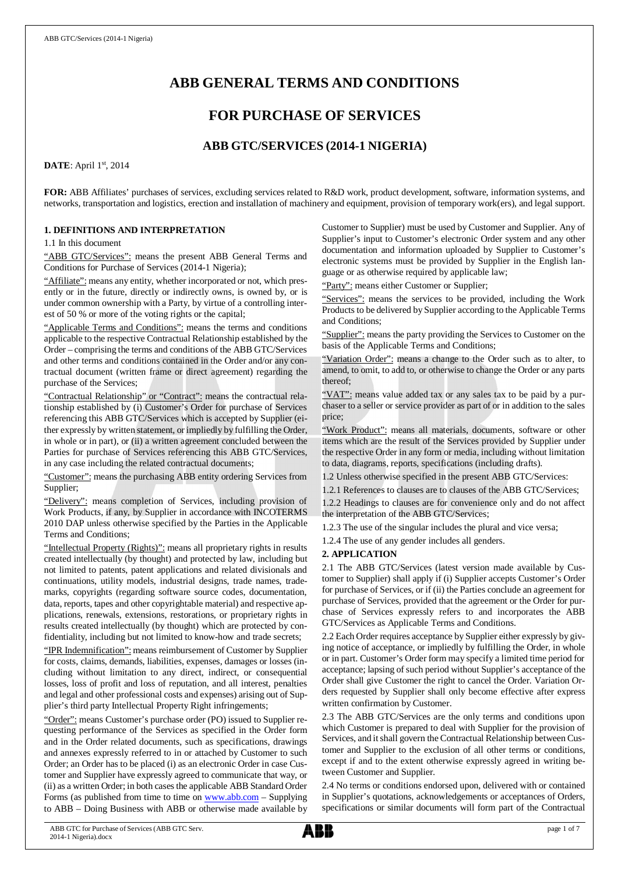# **ABB GENERAL TERMS AND CONDITIONS**

# **FOR PURCHASE OF SERVICES**

# **ABB GTC/SERVICES (2014-1 NIGERIA)**

## **DATE**: April 1st, 2014

**FOR:** ABB Affiliates' purchases of services, excluding services related to R&D work, product development, software, information systems, and networks, transportation and logistics, erection and installation of machinery and equipment, provision of temporary work(ers), and legal support.

## **1. DEFINITIONS AND INTERPRETATION**

1.1 In this document

"ABB GTC/Services": means the present ABB General Terms and Conditions for Purchase of Services (2014-1 Nigeria);

"Affiliate": means any entity, whether incorporated or not, which presently or in the future, directly or indirectly owns, is owned by, or is under common ownership with a Party, by virtue of a controlling interest of 50 % or more of the voting rights or the capital;

"Applicable Terms and Conditions": means the terms and conditions applicable to the respective Contractual Relationship established by the Order – comprising the terms and conditions of the ABB GTC/Services and other terms and conditions contained in the Order and/or any contractual document (written frame or direct agreement) regarding the purchase of the Services;

"Contractual Relationship" or "Contract": means the contractual relationship established by (i) Customer's Order for purchase of Services referencing this ABB GTC/Services which is accepted by Supplier (either expressly by written statement, or impliedly by fulfilling the Order, in whole or in part), or (ii) a written agreement concluded between the Parties for purchase of Services referencing this ABB GTC/Services, in any case including the related contractual documents;

"Customer": means the purchasing ABB entity ordering Services from Supplier;

"Delivery": means completion of Services, including provision of Work Products, if any, by Supplier in accordance with INCOTERMS 2010 DAP unless otherwise specified by the Parties in the Applicable Terms and Conditions;

"Intellectual Property (Rights)": means all proprietary rights in results created intellectually (by thought) and protected by law, including but not limited to patents, patent applications and related divisionals and continuations, utility models, industrial designs, trade names, trademarks, copyrights (regarding software source codes, documentation, data, reports, tapes and other copyrightable material) and respective applications, renewals, extensions, restorations, or proprietary rights in results created intellectually (by thought) which are protected by confidentiality, including but not limited to know-how and trade secrets;

"IPR Indemnification": means reimbursement of Customer by Supplier for costs, claims, demands, liabilities, expenses, damages or losses (including without limitation to any direct, indirect, or consequential losses, loss of profit and loss of reputation, and all interest, penalties and legal and other professional costs and expenses) arising out of Supplier's third party Intellectual Property Right infringements;

"Order": means Customer's purchase order (PO) issued to Supplier requesting performance of the Services as specified in the Order form and in the Order related documents, such as specifications, drawings and annexes expressly referred to in or attached by Customer to such Order; an Order has to be placed (i) as an electronic Order in case Customer and Supplier have expressly agreed to communicate that way, or (ii) as a written Order; in both cases the applicable ABB Standard Order Forms (as published from time to time on [www.abb.com](http://www.abb.com/) - Supplying to ABB – Doing Business with ABB or otherwise made available by

Customer to Supplier) must be used by Customer and Supplier. Any of Supplier's input to Customer's electronic Order system and any other documentation and information uploaded by Supplier to Customer's electronic systems must be provided by Supplier in the English language or as otherwise required by applicable law;

"Party": means either Customer or Supplier;

"Services": means the services to be provided, including the Work Products to be delivered by Supplier according to the Applicable Terms and Conditions;

"Supplier": means the party providing the Services to Customer on the basis of the Applicable Terms and Conditions;

"Variation Order": means a change to the Order such as to alter, to amend, to omit, to add to, or otherwise to change the Order or any parts thereof;

"VAT": means value added tax or any sales tax to be paid by a purchaser to a seller or service provider as part of or in addition to the sales price;

"Work Product": means all materials, documents, software or other items which are the result of the Services provided by Supplier under the respective Order in any form or media, including without limitation to data, diagrams, reports, specifications (including drafts).

1.2 Unless otherwise specified in the present ABB GTC/Services:

1.2.1 References to clauses are to clauses of the ABB GTC/Services; 1.2.2 Headings to clauses are for convenience only and do not affect the interpretation of the ABB GTC/Services;

1.2.3 The use of the singular includes the plural and vice versa;

1.2.4 The use of any gender includes all genders.

#### **2. APPLICATION**

2.1 The ABB GTC/Services (latest version made available by Customer to Supplier) shall apply if (i) Supplier accepts Customer's Order for purchase of Services, or if (ii) the Parties conclude an agreement for purchase of Services, provided that the agreement or the Order for purchase of Services expressly refers to and incorporates the ABB GTC/Services as Applicable Terms and Conditions.

2.2 Each Order requires acceptance by Supplier either expressly by giving notice of acceptance, or impliedly by fulfilling the Order, in whole or in part. Customer's Order form may specify a limited time period for acceptance; lapsing of such period without Supplier's acceptance of the Order shall give Customer the right to cancel the Order. Variation Orders requested by Supplier shall only become effective after express written confirmation by Customer.

2.3 The ABB GTC/Services are the only terms and conditions upon which Customer is prepared to deal with Supplier for the provision of Services, and it shall govern the Contractual Relationship between Customer and Supplier to the exclusion of all other terms or conditions, except if and to the extent otherwise expressly agreed in writing between Customer and Supplier.

2.4 No terms or conditions endorsed upon, delivered with or contained in Supplier's quotations, acknowledgements or acceptances of Orders, specifications or similar documents will form part of the Contractual

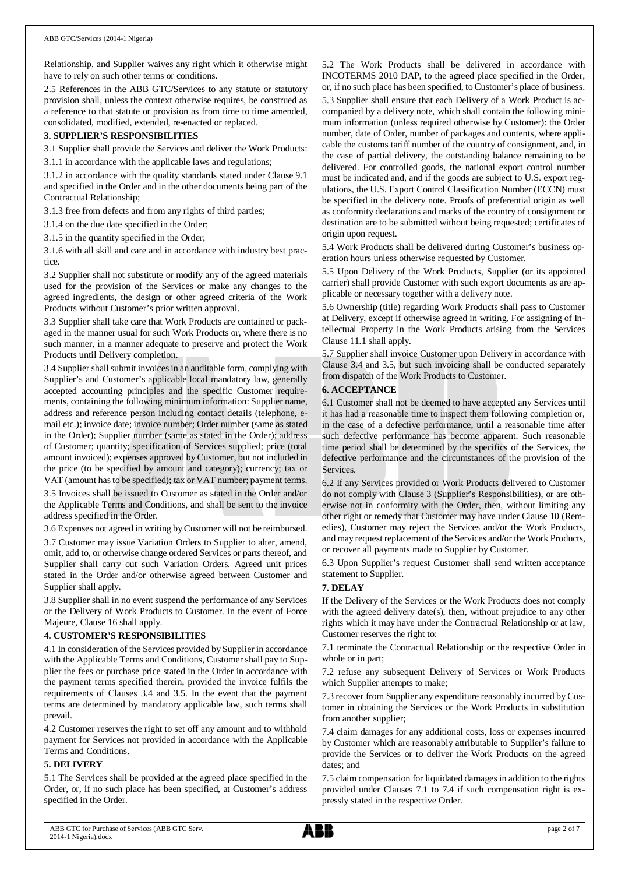Relationship, and Supplier waives any right which it otherwise might have to rely on such other terms or conditions.

2.5 References in the ABB GTC/Services to any statute or statutory provision shall, unless the context otherwise requires, be construed as a reference to that statute or provision as from time to time amended, consolidated, modified, extended, re-enacted or replaced.

## **3. SUPPLIER'S RESPONSIBILITIES**

3.1 Supplier shall provide the Services and deliver the Work Products:

3.1.1 in accordance with the applicable laws and regulations;

3.1.2 in accordance with the quality standards stated under Clause 9.1 and specified in the Order and in the other documents being part of the Contractual Relationship;

3.1.3 free from defects and from any rights of third parties;

3.1.4 on the due date specified in the Order;

3.1.5 in the quantity specified in the Order;

3.1.6 with all skill and care and in accordance with industry best practice.

3.2 Supplier shall not substitute or modify any of the agreed materials used for the provision of the Services or make any changes to the agreed ingredients, the design or other agreed criteria of the Work Products without Customer's prior written approval.

3.3 Supplier shall take care that Work Products are contained or packaged in the manner usual for such Work Products or, where there is no such manner, in a manner adequate to preserve and protect the Work Products until Delivery completion.

3.4 Supplier shall submit invoices in an auditable form, complying with Supplier's and Customer's applicable local mandatory law, generally accepted accounting principles and the specific Customer requirements, containing the following minimum information: Supplier name, address and reference person including contact details (telephone, email etc.); invoice date; invoice number; Order number (same as stated in the Order); Supplier number (same as stated in the Order); address of Customer; quantity; specification of Services supplied; price (total amount invoiced); expenses approved by Customer, but not included in the price (to be specified by amount and category); currency; tax or VAT (amount has to be specified); tax or VAT number; payment terms. 3.5 Invoices shall be issued to Customer as stated in the Order and/or

the Applicable Terms and Conditions, and shall be sent to the invoice address specified in the Order.

3.6 Expenses not agreed in writing by Customer will not be reimbursed.

3.7 Customer may issue Variation Orders to Supplier to alter, amend, omit, add to, or otherwise change ordered Services or parts thereof, and Supplier shall carry out such Variation Orders. Agreed unit prices stated in the Order and/or otherwise agreed between Customer and Supplier shall apply.

3.8 Supplier shall in no event suspend the performance of any Services or the Delivery of Work Products to Customer. In the event of Force Majeure, Clause 16 shall apply.

#### **4. CUSTOMER'S RESPONSIBILITIES**

4.1 In consideration of the Services provided by Supplier in accordance with the Applicable Terms and Conditions, Customer shall pay to Supplier the fees or purchase price stated in the Order in accordance with the payment terms specified therein, provided the invoice fulfils the requirements of Clauses 3.4 and 3.5. In the event that the payment terms are determined by mandatory applicable law, such terms shall prevail.

4.2 Customer reserves the right to set off any amount and to withhold payment for Services not provided in accordance with the Applicable Terms and Conditions.

#### **5. DELIVERY**

5.1 The Services shall be provided at the agreed place specified in the Order, or, if no such place has been specified, at Customer's address specified in the Order.

5.2 The Work Products shall be delivered in accordance with INCOTERMS 2010 DAP, to the agreed place specified in the Order, or, if no such place has been specified, to Customer's place of business. 5.3 Supplier shall ensure that each Delivery of a Work Product is accompanied by a delivery note, which shall contain the following minimum information (unless required otherwise by Customer): the Order number, date of Order, number of packages and contents, where applicable the customs tariff number of the country of consignment, and, in the case of partial delivery, the outstanding balance remaining to be delivered. For controlled goods, the national export control number must be indicated and, and if the goods are subject to U.S. export regulations, the U.S. Export Control Classification Number (ECCN) must be specified in the delivery note. Proofs of preferential origin as well as conformity declarations and marks of the country of consignment or destination are to be submitted without being requested; certificates of origin upon request.

5.4 Work Products shall be delivered during Customer's business operation hours unless otherwise requested by Customer.

5.5 Upon Delivery of the Work Products, Supplier (or its appointed carrier) shall provide Customer with such export documents as are applicable or necessary together with a delivery note.

5.6 Ownership (title) regarding Work Products shall pass to Customer at Delivery, except if otherwise agreed in writing. For assigning of Intellectual Property in the Work Products arising from the Services Clause 11.1 shall apply.

5.7 Supplier shall invoice Customer upon Delivery in accordance with Clause 3.4 and 3.5, but such invoicing shall be conducted separately from dispatch of the Work Products to Customer.

### **6. ACCEPTANCE**

6.1 Customer shall not be deemed to have accepted any Services until it has had a reasonable time to inspect them following completion or, in the case of a defective performance, until a reasonable time after such defective performance has become apparent. Such reasonable time period shall be determined by the specifics of the Services, the defective performance and the circumstances of the provision of the Services.

6.2 If any Services provided or Work Products delivered to Customer do not comply with Clause 3 (Supplier's Responsibilities), or are otherwise not in conformity with the Order, then, without limiting any other right or remedy that Customer may have under Clause 10 (Remedies), Customer may reject the Services and/or the Work Products, and may request replacement of the Services and/or the Work Products, or recover all payments made to Supplier by Customer.

6.3 Upon Supplier's request Customer shall send written acceptance statement to Supplier.

## **7. DELAY**

If the Delivery of the Services or the Work Products does not comply with the agreed delivery date(s), then, without prejudice to any other rights which it may have under the Contractual Relationship or at law, Customer reserves the right to:

7.1 terminate the Contractual Relationship or the respective Order in whole or in part;

7.2 refuse any subsequent Delivery of Services or Work Products which Supplier attempts to make;

7.3 recover from Supplier any expenditure reasonably incurred by Customer in obtaining the Services or the Work Products in substitution from another supplier;

7.4 claim damages for any additional costs, loss or expenses incurred by Customer which are reasonably attributable to Supplier's failure to provide the Services or to deliver the Work Products on the agreed dates; and

7.5 claim compensation for liquidated damages in addition to the rights provided under Clauses 7.1 to 7.4 if such compensation right is expressly stated in the respective Order.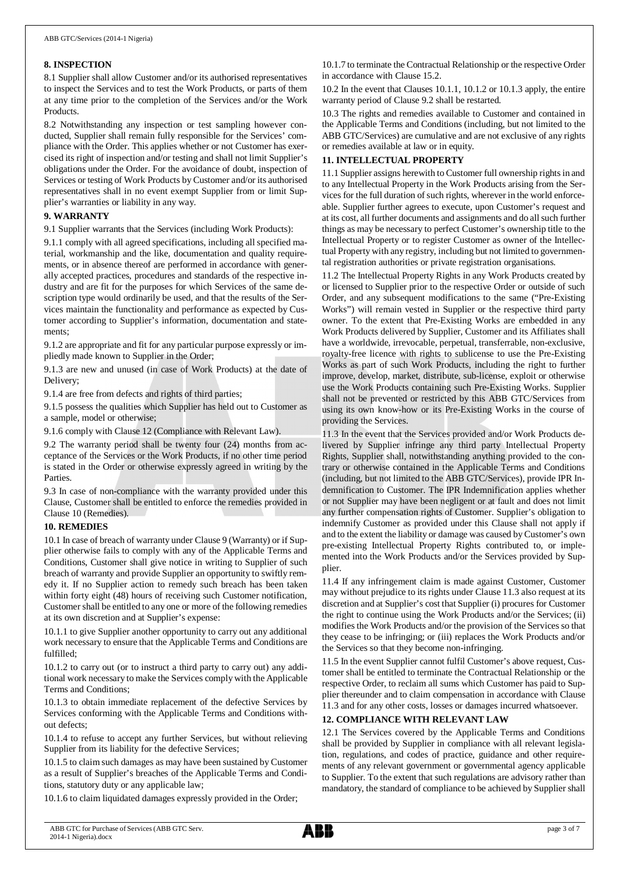#### **8. INSPECTION**

8.1 Supplier shall allow Customer and/or its authorised representatives to inspect the Services and to test the Work Products, or parts of them at any time prior to the completion of the Services and/or the Work Products.

8.2 Notwithstanding any inspection or test sampling however conducted, Supplier shall remain fully responsible for the Services' compliance with the Order. This applies whether or not Customer has exercised its right of inspection and/or testing and shall not limit Supplier's obligations under the Order. For the avoidance of doubt, inspection of Services or testing of Work Products by Customer and/or its authorised representatives shall in no event exempt Supplier from or limit Supplier's warranties or liability in any way.

## **9. WARRANTY**

9.1 Supplier warrants that the Services (including Work Products):

9.1.1 comply with all agreed specifications, including all specified material, workmanship and the like, documentation and quality requirements, or in absence thereof are performed in accordance with generally accepted practices, procedures and standards of the respective industry and are fit for the purposes for which Services of the same description type would ordinarily be used, and that the results of the Services maintain the functionality and performance as expected by Customer according to Supplier's information, documentation and statements;

9.1.2 are appropriate and fit for any particular purpose expressly or impliedly made known to Supplier in the Order;

9.1.3 are new and unused (in case of Work Products) at the date of Delivery;

9.1.4 are free from defects and rights of third parties;

9.1.5 possess the qualities which Supplier has held out to Customer as a sample, model or otherwise;

9.1.6 comply with Clause 12 (Compliance with Relevant Law).

9.2 The warranty period shall be twenty four (24) months from acceptance of the Services or the Work Products, if no other time period is stated in the Order or otherwise expressly agreed in writing by the Parties.

9.3 In case of non-compliance with the warranty provided under this Clause, Customer shall be entitled to enforce the remedies provided in Clause 10 (Remedies).

## **10. REMEDIES**

10.1 In case of breach of warranty under Clause 9 (Warranty) or if Supplier otherwise fails to comply with any of the Applicable Terms and Conditions, Customer shall give notice in writing to Supplier of such breach of warranty and provide Supplier an opportunity to swiftly remedy it. If no Supplier action to remedy such breach has been taken within forty eight (48) hours of receiving such Customer notification, Customer shall be entitled to any one or more of the following remedies at its own discretion and at Supplier's expense:

10.1.1 to give Supplier another opportunity to carry out any additional work necessary to ensure that the Applicable Terms and Conditions are fulfilled;

10.1.2 to carry out (or to instruct a third party to carry out) any additional work necessary to make the Services comply with the Applicable Terms and Conditions;

10.1.3 to obtain immediate replacement of the defective Services by Services conforming with the Applicable Terms and Conditions without defects;

10.1.4 to refuse to accept any further Services, but without relieving Supplier from its liability for the defective Services;

10.1.5 to claim such damages as may have been sustained by Customer as a result of Supplier's breaches of the Applicable Terms and Conditions, statutory duty or any applicable law;

10.1.6 to claim liquidated damages expressly provided in the Order;

10.1.7 to terminate the Contractual Relationship or the respective Order in accordance with Clause 15.2.

10.2 In the event that Clauses 10.1.1, 10.1.2 or 10.1.3 apply, the entire warranty period of Clause 9.2 shall be restarted.

10.3 The rights and remedies available to Customer and contained in the Applicable Terms and Conditions (including, but not limited to the ABB GTC/Services) are cumulative and are not exclusive of any rights or remedies available at law or in equity.

## **11. INTELLECTUAL PROPERTY**

11.1 Supplier assigns herewith to Customer full ownership rights in and to any Intellectual Property in the Work Products arising from the Services for the full duration of such rights, wherever in the world enforceable. Supplier further agrees to execute, upon Customer's request and at its cost, all further documents and assignments and do all such further things as may be necessary to perfect Customer's ownership title to the Intellectual Property or to register Customer as owner of the Intellectual Property with any registry, including but not limited to governmental registration authorities or private registration organisations.

11.2 The Intellectual Property Rights in any Work Products created by or licensed to Supplier prior to the respective Order or outside of such Order, and any subsequent modifications to the same ("Pre-Existing Works") will remain vested in Supplier or the respective third party owner. To the extent that Pre-Existing Works are embedded in any Work Products delivered by Supplier, Customer and its Affiliates shall have a worldwide, irrevocable, perpetual, transferrable, non-exclusive, royalty-free licence with rights to sublicense to use the Pre-Existing Works as part of such Work Products, including the right to further improve, develop, market, distribute, sub-license, exploit or otherwise use the Work Products containing such Pre-Existing Works. Supplier shall not be prevented or restricted by this ABB GTC/Services from using its own know-how or its Pre-Existing Works in the course of providing the Services.

11.3 In the event that the Services provided and/or Work Products delivered by Supplier infringe any third party Intellectual Property Rights, Supplier shall, notwithstanding anything provided to the contrary or otherwise contained in the Applicable Terms and Conditions (including, but not limited to the ABB GTC/Services), provide IPR Indemnification to Customer. The IPR Indemnification applies whether or not Supplier may have been negligent or at fault and does not limit any further compensation rights of Customer. Supplier's obligation to indemnify Customer as provided under this Clause shall not apply if and to the extent the liability or damage was caused by Customer's own pre-existing Intellectual Property Rights contributed to, or implemented into the Work Products and/or the Services provided by Supplier.

11.4 If any infringement claim is made against Customer, Customer may without prejudice to its rights under Clause 11.3 also request at its discretion and at Supplier's cost that Supplier (i) procures for Customer the right to continue using the Work Products and/or the Services; (ii) modifies the Work Products and/or the provision of the Services so that they cease to be infringing; or (iii) replaces the Work Products and/or the Services so that they become non-infringing.

11.5 In the event Supplier cannot fulfil Customer's above request, Customer shall be entitled to terminate the Contractual Relationship or the respective Order, to reclaim all sums which Customer has paid to Supplier thereunder and to claim compensation in accordance with Clause 11.3 and for any other costs, losses or damages incurred whatsoever.

## **12. COMPLIANCE WITH RELEVANT LAW**

12.1 The Services covered by the Applicable Terms and Conditions shall be provided by Supplier in compliance with all relevant legislation, regulations, and codes of practice, guidance and other requirements of any relevant government or governmental agency applicable to Supplier. To the extent that such regulations are advisory rather than mandatory, the standard of compliance to be achieved by Supplier shall

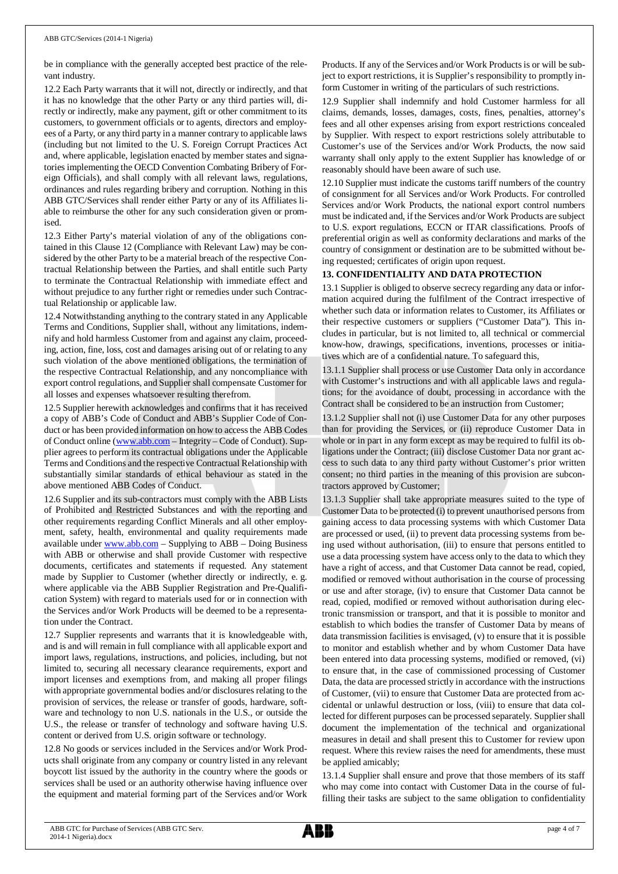be in compliance with the generally accepted best practice of the relevant industry.

12.2 Each Party warrants that it will not, directly or indirectly, and that it has no knowledge that the other Party or any third parties will, directly or indirectly, make any payment, gift or other commitment to its customers, to government officials or to agents, directors and employees of a Party, or any third party in a manner contrary to applicable laws (including but not limited to the U. S. Foreign Corrupt Practices Act and, where applicable, legislation enacted by member states and signatories implementing the OECD Convention Combating Bribery of Foreign Officials), and shall comply with all relevant laws, regulations, ordinances and rules regarding bribery and corruption. Nothing in this ABB GTC/Services shall render either Party or any of its Affiliates liable to reimburse the other for any such consideration given or promised.

12.3 Either Party's material violation of any of the obligations contained in this Clause 12 (Compliance with Relevant Law) may be considered by the other Party to be a material breach of the respective Contractual Relationship between the Parties, and shall entitle such Party to terminate the Contractual Relationship with immediate effect and without prejudice to any further right or remedies under such Contractual Relationship or applicable law.

12.4 Notwithstanding anything to the contrary stated in any Applicable Terms and Conditions, Supplier shall, without any limitations, indemnify and hold harmless Customer from and against any claim, proceeding, action, fine, loss, cost and damages arising out of or relating to any such violation of the above mentioned obligations, the termination of the respective Contractual Relationship, and any noncompliance with export control regulations, and Supplier shall compensate Customer for all losses and expenses whatsoever resulting therefrom.

12.5 Supplier herewith acknowledges and confirms that it has received a copy of ABB's Code of Conduct and ABB's Supplier Code of Conduct or has been provided information on how to access the ABB Codes of Conduct online ([www.abb.com](http://www.abb.com/) – Integrity – Code of Conduct). Supplier agrees to perform its contractual obligations under the Applicable Terms and Conditions and the respective Contractual Relationship with substantially similar standards of ethical behaviour as stated in the above mentioned ABB Codes of Conduct.

12.6 Supplier and its sub-contractors must comply with the ABB Lists of Prohibited and Restricted Substances and with the reporting and other requirements regarding Conflict Minerals and all other employment, safety, health, environmental and quality requirements made available under [www.abb.com](http://www.abb.com/) – Supplying to ABB – Doing Business with ABB or otherwise and shall provide Customer with respective documents, certificates and statements if requested. Any statement made by Supplier to Customer (whether directly or indirectly, e. g. where applicable via the ABB Supplier Registration and Pre-Qualification System) with regard to materials used for or in connection with the Services and/or Work Products will be deemed to be a representation under the Contract.

12.7 Supplier represents and warrants that it is knowledgeable with, and is and will remain in full compliance with all applicable export and import laws, regulations, instructions, and policies, including, but not limited to, securing all necessary clearance requirements, export and import licenses and exemptions from, and making all proper filings with appropriate governmental bodies and/or disclosures relating to the provision of services, the release or transfer of goods, hardware, software and technology to non U.S. nationals in the U.S., or outside the U.S., the release or transfer of technology and software having U.S. content or derived from U.S. origin software or technology.

12.8 No goods or services included in the Services and/or Work Products shall originate from any company or country listed in any relevant boycott list issued by the authority in the country where the goods or services shall be used or an authority otherwise having influence over the equipment and material forming part of the Services and/or Work

Products. If any of the Services and/or Work Products is or will be subject to export restrictions, it is Supplier's responsibility to promptly inform Customer in writing of the particulars of such restrictions.

12.9 Supplier shall indemnify and hold Customer harmless for all claims, demands, losses, damages, costs, fines, penalties, attorney's fees and all other expenses arising from export restrictions concealed by Supplier. With respect to export restrictions solely attributable to Customer's use of the Services and/or Work Products, the now said warranty shall only apply to the extent Supplier has knowledge of or reasonably should have been aware of such use.

12.10 Supplier must indicate the customs tariff numbers of the country of consignment for all Services and/or Work Products. For controlled Services and/or Work Products, the national export control numbers must be indicated and, if the Services and/or Work Products are subject to U.S. export regulations, ECCN or ITAR classifications. Proofs of preferential origin as well as conformity declarations and marks of the country of consignment or destination are to be submitted without being requested; certificates of origin upon request.

# **13. CONFIDENTIALITY AND DATA PROTECTION**

13.1 Supplier is obliged to observe secrecy regarding any data or information acquired during the fulfilment of the Contract irrespective of whether such data or information relates to Customer, its Affiliates or their respective customers or suppliers ("Customer Data"). This includes in particular, but is not limited to, all technical or commercial know-how, drawings, specifications, inventions, processes or initiatives which are of a confidential nature. To safeguard this,

13.1.1 Supplier shall process or use Customer Data only in accordance with Customer's instructions and with all applicable laws and regulations; for the avoidance of doubt, processing in accordance with the Contract shall be considered to be an instruction from Customer;

13.1.2 Supplier shall not (i) use Customer Data for any other purposes than for providing the Services, or (ii) reproduce Customer Data in whole or in part in any form except as may be required to fulfil its obligations under the Contract; (iii) disclose Customer Data nor grant access to such data to any third party without Customer's prior written consent; no third parties in the meaning of this provision are subcontractors approved by Customer;

13.1.3 Supplier shall take appropriate measures suited to the type of Customer Data to be protected (i) to prevent unauthorised persons from gaining access to data processing systems with which Customer Data are processed or used, (ii) to prevent data processing systems from being used without authorisation, (iii) to ensure that persons entitled to use a data processing system have access only to the data to which they have a right of access, and that Customer Data cannot be read, copied, modified or removed without authorisation in the course of processing or use and after storage, (iv) to ensure that Customer Data cannot be read, copied, modified or removed without authorisation during electronic transmission or transport, and that it is possible to monitor and establish to which bodies the transfer of Customer Data by means of data transmission facilities is envisaged, (v) to ensure that it is possible to monitor and establish whether and by whom Customer Data have been entered into data processing systems, modified or removed, (vi) to ensure that, in the case of commissioned processing of Customer Data, the data are processed strictly in accordance with the instructions of Customer, (vii) to ensure that Customer Data are protected from accidental or unlawful destruction or loss, (viii) to ensure that data collected for different purposes can be processed separately. Supplier shall document the implementation of the technical and organizational measures in detail and shall present this to Customer for review upon request. Where this review raises the need for amendments, these must be applied amicably;

13.1.4 Supplier shall ensure and prove that those members of its staff who may come into contact with Customer Data in the course of fulfilling their tasks are subject to the same obligation to confidentiality

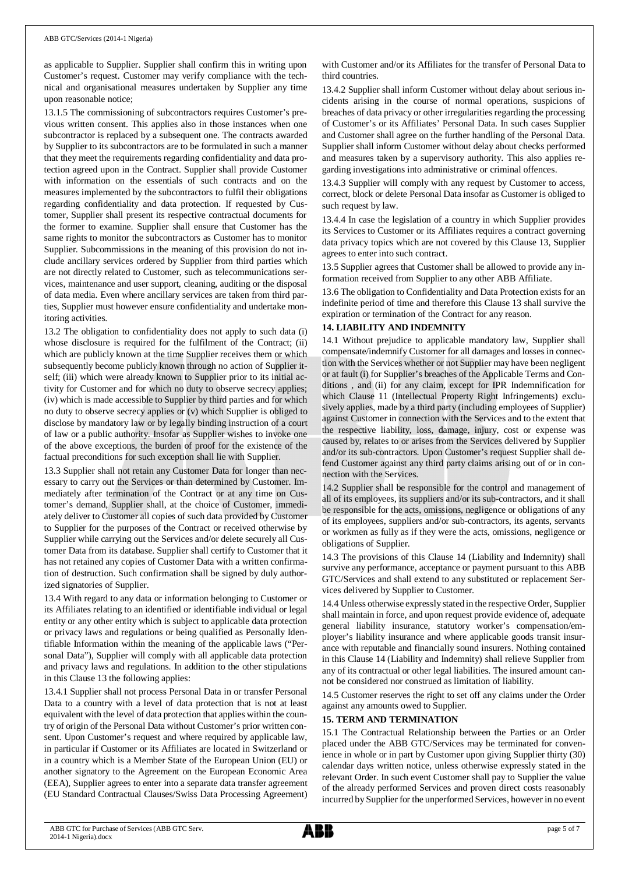as applicable to Supplier. Supplier shall confirm this in writing upon Customer's request. Customer may verify compliance with the technical and organisational measures undertaken by Supplier any time upon reasonable notice;

13.1.5 The commissioning of subcontractors requires Customer's previous written consent. This applies also in those instances when one subcontractor is replaced by a subsequent one. The contracts awarded by Supplier to its subcontractors are to be formulated in such a manner that they meet the requirements regarding confidentiality and data protection agreed upon in the Contract. Supplier shall provide Customer with information on the essentials of such contracts and on the measures implemented by the subcontractors to fulfil their obligations regarding confidentiality and data protection. If requested by Customer, Supplier shall present its respective contractual documents for the former to examine. Supplier shall ensure that Customer has the same rights to monitor the subcontractors as Customer has to monitor Supplier. Subcommissions in the meaning of this provision do not include ancillary services ordered by Supplier from third parties which are not directly related to Customer, such as telecommunications services, maintenance and user support, cleaning, auditing or the disposal of data media. Even where ancillary services are taken from third parties, Supplier must however ensure confidentiality and undertake monitoring activities.

13.2 The obligation to confidentiality does not apply to such data (i) whose disclosure is required for the fulfilment of the Contract; (ii) which are publicly known at the time Supplier receives them or which subsequently become publicly known through no action of Supplier itself; (iii) which were already known to Supplier prior to its initial activity for Customer and for which no duty to observe secrecy applies; (iv) which is made accessible to Supplier by third parties and for which no duty to observe secrecy applies or (v) which Supplier is obliged to disclose by mandatory law or by legally binding instruction of a court of law or a public authority. Insofar as Supplier wishes to invoke one of the above exceptions, the burden of proof for the existence of the factual preconditions for such exception shall lie with Supplier.

13.3 Supplier shall not retain any Customer Data for longer than necessary to carry out the Services or than determined by Customer. Immediately after termination of the Contract or at any time on Customer's demand, Supplier shall, at the choice of Customer, immediately deliver to Customer all copies of such data provided by Customer to Supplier for the purposes of the Contract or received otherwise by Supplier while carrying out the Services and/or delete securely all Customer Data from its database. Supplier shall certify to Customer that it has not retained any copies of Customer Data with a written confirmation of destruction. Such confirmation shall be signed by duly authorized signatories of Supplier.

13.4 With regard to any data or information belonging to Customer or its Affiliates relating to an identified or identifiable individual or legal entity or any other entity which is subject to applicable data protection or privacy laws and regulations or being qualified as Personally Identifiable Information within the meaning of the applicable laws ("Personal Data"), Supplier will comply with all applicable data protection and privacy laws and regulations. In addition to the other stipulations in this Clause 13 the following applies:

13.4.1 Supplier shall not process Personal Data in or transfer Personal Data to a country with a level of data protection that is not at least equivalent with the level of data protection that applies within the country of origin of the Personal Data without Customer's prior written consent. Upon Customer's request and where required by applicable law, in particular if Customer or its Affiliates are located in Switzerland or in a country which is a Member State of the European Union (EU) or another signatory to the Agreement on the European Economic Area (EEA), Supplier agrees to enter into a separate data transfer agreement (EU Standard Contractual Clauses/Swiss Data Processing Agreement) with Customer and/or its Affiliates for the transfer of Personal Data to third countries.

13.4.2 Supplier shall inform Customer without delay about serious incidents arising in the course of normal operations, suspicions of breaches of data privacy or other irregularities regarding the processing of Customer's or its Affiliates' Personal Data. In such cases Supplier and Customer shall agree on the further handling of the Personal Data. Supplier shall inform Customer without delay about checks performed and measures taken by a supervisory authority. This also applies regarding investigations into administrative or criminal offences.

13.4.3 Supplier will comply with any request by Customer to access, correct, block or delete Personal Data insofar as Customer is obliged to such request by law.

13.4.4 In case the legislation of a country in which Supplier provides its Services to Customer or its Affiliates requires a contract governing data privacy topics which are not covered by this Clause 13, Supplier agrees to enter into such contract.

13.5 Supplier agrees that Customer shall be allowed to provide any information received from Supplier to any other ABB Affiliate.

13.6 The obligation to Confidentiality and Data Protection exists for an indefinite period of time and therefore this Clause 13 shall survive the expiration or termination of the Contract for any reason.

# **14. LIABILITY AND INDEMNITY**

14.1 Without prejudice to applicable mandatory law, Supplier shall compensate/indemnify Customer for all damages and losses in connection with the Services whether or not Supplier may have been negligent or at fault (i) for Supplier's breaches of the Applicable Terms and Conditions , and (ii) for any claim, except for IPR Indemnification for which Clause 11 (Intellectual Property Right Infringements) exclusively applies, made by a third party (including employees of Supplier) against Customer in connection with the Services and to the extent that the respective liability, loss, damage, injury, cost or expense was caused by, relates to or arises from the Services delivered by Supplier and/or its sub-contractors. Upon Customer's request Supplier shall defend Customer against any third party claims arising out of or in connection with the Services.

14.2 Supplier shall be responsible for the control and management of all of its employees, its suppliers and/or its sub-contractors, and it shall be responsible for the acts, omissions, negligence or obligations of any of its employees, suppliers and/or sub-contractors, its agents, servants or workmen as fully as if they were the acts, omissions, negligence or obligations of Supplier.

14.3 The provisions of this Clause 14 (Liability and Indemnity) shall survive any performance, acceptance or payment pursuant to this ABB GTC/Services and shall extend to any substituted or replacement Services delivered by Supplier to Customer.

14.4 Unless otherwise expressly stated in the respective Order, Supplier shall maintain in force, and upon request provide evidence of, adequate general liability insurance, statutory worker's compensation/employer's liability insurance and where applicable goods transit insurance with reputable and financially sound insurers. Nothing contained in this Clause 14 (Liability and Indemnity) shall relieve Supplier from any of its contractual or other legal liabilities. The insured amount cannot be considered nor construed as limitation of liability.

14.5 Customer reserves the right to set off any claims under the Order against any amounts owed to Supplier.

## **15. TERM AND TERMINATION**

15.1 The Contractual Relationship between the Parties or an Order placed under the ABB GTC/Services may be terminated for convenience in whole or in part by Customer upon giving Supplier thirty (30) calendar days written notice, unless otherwise expressly stated in the relevant Order. In such event Customer shall pay to Supplier the value of the already performed Services and proven direct costs reasonably incurred by Supplier for the unperformed Services, however in no event

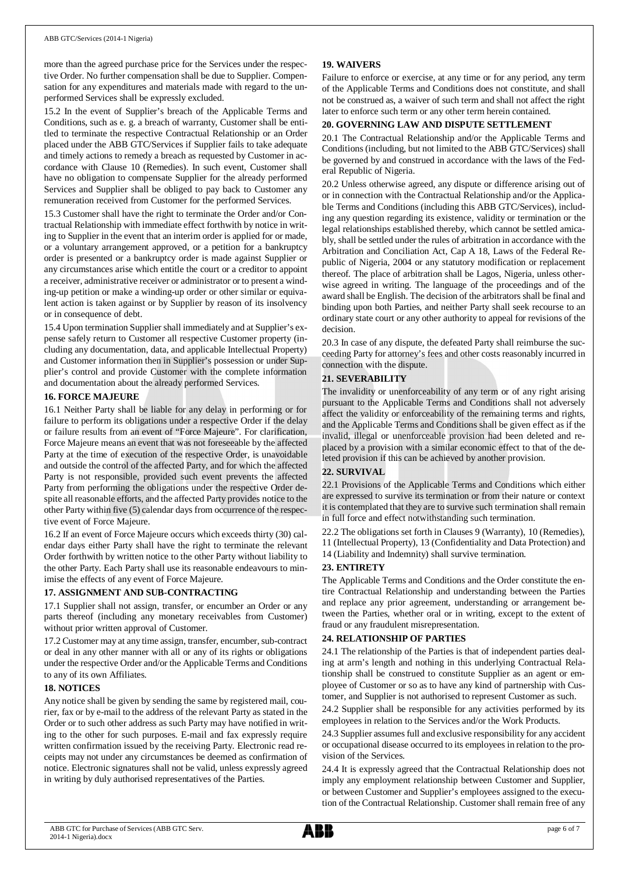more than the agreed purchase price for the Services under the respective Order. No further compensation shall be due to Supplier. Compensation for any expenditures and materials made with regard to the unperformed Services shall be expressly excluded.

15.2 In the event of Supplier's breach of the Applicable Terms and Conditions, such as e. g. a breach of warranty, Customer shall be entitled to terminate the respective Contractual Relationship or an Order placed under the ABB GTC/Services if Supplier fails to take adequate and timely actions to remedy a breach as requested by Customer in accordance with Clause 10 (Remedies). In such event, Customer shall have no obligation to compensate Supplier for the already performed Services and Supplier shall be obliged to pay back to Customer any remuneration received from Customer for the performed Services.

15.3 Customer shall have the right to terminate the Order and/or Contractual Relationship with immediate effect forthwith by notice in writing to Supplier in the event that an interim order is applied for or made, or a voluntary arrangement approved, or a petition for a bankruptcy order is presented or a bankruptcy order is made against Supplier or any circumstances arise which entitle the court or a creditor to appoint a receiver, administrative receiver or administrator or to present a winding-up petition or make a winding-up order or other similar or equivalent action is taken against or by Supplier by reason of its insolvency or in consequence of debt.

15.4 Upon termination Supplier shall immediately and at Supplier's expense safely return to Customer all respective Customer property (including any documentation, data, and applicable Intellectual Property) and Customer information then in Supplier's possession or under Supplier's control and provide Customer with the complete information and documentation about the already performed Services.

#### **16. FORCE MAJEURE**

16.1 Neither Party shall be liable for any delay in performing or for failure to perform its obligations under a respective Order if the delay or failure results from an event of "Force Majeure". For clarification, Force Majeure means an event that was not foreseeable by the affected Party at the time of execution of the respective Order, is unavoidable and outside the control of the affected Party, and for which the affected Party is not responsible, provided such event prevents the affected Party from performing the obligations under the respective Order despite all reasonable efforts, and the affected Party provides notice to the other Party within five (5) calendar days from occurrence of the respective event of Force Majeure.

16.2 If an event of Force Majeure occurs which exceeds thirty (30) calendar days either Party shall have the right to terminate the relevant Order forthwith by written notice to the other Party without liability to the other Party. Each Party shall use its reasonable endeavours to minimise the effects of any event of Force Majeure.

#### **17. ASSIGNMENT AND SUB-CONTRACTING**

17.1 Supplier shall not assign, transfer, or encumber an Order or any parts thereof (including any monetary receivables from Customer) without prior written approval of Customer.

17.2 Customer may at any time assign, transfer, encumber, sub-contract or deal in any other manner with all or any of its rights or obligations under the respective Order and/or the Applicable Terms and Conditions to any of its own Affiliates.

#### **18. NOTICES**

Any notice shall be given by sending the same by registered mail, courier, fax or by e-mail to the address of the relevant Party as stated in the Order or to such other address as such Party may have notified in writing to the other for such purposes. E-mail and fax expressly require written confirmation issued by the receiving Party. Electronic read receipts may not under any circumstances be deemed as confirmation of notice. Electronic signatures shall not be valid, unless expressly agreed in writing by duly authorised representatives of the Parties.

## **19. WAIVERS**

Failure to enforce or exercise, at any time or for any period, any term of the Applicable Terms and Conditions does not constitute, and shall not be construed as, a waiver of such term and shall not affect the right later to enforce such term or any other term herein contained.

#### **20. GOVERNING LAW AND DISPUTE SETTLEMENT**

20.1 The Contractual Relationship and/or the Applicable Terms and Conditions (including, but not limited to the ABB GTC/Services) shall be governed by and construed in accordance with the laws of the Federal Republic of Nigeria.

20.2 Unless otherwise agreed, any dispute or difference arising out of or in connection with the Contractual Relationship and/or the Applicable Terms and Conditions (including this ABB GTC/Services), including any question regarding its existence, validity or termination or the legal relationships established thereby, which cannot be settled amicably, shall be settled under the rules of arbitration in accordance with the Arbitration and Conciliation Act, Cap A 18, Laws of the Federal Republic of Nigeria, 2004 or any statutory modification or replacement thereof. The place of arbitration shall be Lagos, Nigeria, unless otherwise agreed in writing. The language of the proceedings and of the award shall be English. The decision of the arbitrators shall be final and binding upon both Parties, and neither Party shall seek recourse to an ordinary state court or any other authority to appeal for revisions of the decision.

20.3 In case of any dispute, the defeated Party shall reimburse the succeeding Party for attorney's fees and other costs reasonably incurred in connection with the dispute.

#### **21. SEVERABILITY**

The invalidity or unenforceability of any term or of any right arising pursuant to the Applicable Terms and Conditions shall not adversely affect the validity or enforceability of the remaining terms and rights, and the Applicable Terms and Conditions shall be given effect as if the invalid, illegal or unenforceable provision had been deleted and replaced by a provision with a similar economic effect to that of the deleted provision if this can be achieved by another provision.

## **22. SURVIVAL**

22.1 Provisions of the Applicable Terms and Conditions which either are expressed to survive its termination or from their nature or context it is contemplated that they are to survive such termination shall remain in full force and effect notwithstanding such termination.

22.2 The obligations set forth in Clauses 9 (Warranty), 10 (Remedies), 11 (Intellectual Property), 13 (Confidentiality and Data Protection) and 14 (Liability and Indemnity) shall survive termination.

#### **23. ENTIRETY**

The Applicable Terms and Conditions and the Order constitute the entire Contractual Relationship and understanding between the Parties and replace any prior agreement, understanding or arrangement between the Parties, whether oral or in writing, except to the extent of fraud or any fraudulent misrepresentation.

## **24. RELATIONSHIP OF PARTIES**

24.1 The relationship of the Parties is that of independent parties dealing at arm's length and nothing in this underlying Contractual Relationship shall be construed to constitute Supplier as an agent or employee of Customer or so as to have any kind of partnership with Customer, and Supplier is not authorised to represent Customer as such.

24.2 Supplier shall be responsible for any activities performed by its employees in relation to the Services and/or the Work Products.

24.3 Supplier assumes full and exclusive responsibility for any accident or occupational disease occurred to its employees in relation to the provision of the Services.

24.4 It is expressly agreed that the Contractual Relationship does not imply any employment relationship between Customer and Supplier, or between Customer and Supplier's employees assigned to the execution of the Contractual Relationship. Customer shall remain free of any